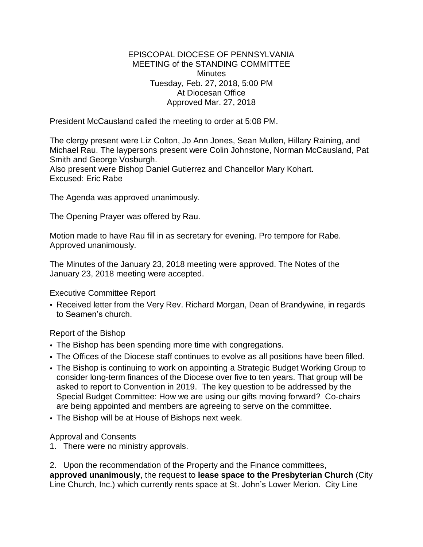## EPISCOPAL DIOCESE OF PENNSYLVANIA MEETING of the STANDING COMMITTEE **Minutes** Tuesday, Feb. 27, 2018, 5:00 PM At Diocesan Office Approved Mar. 27, 2018

President McCausland called the meeting to order at 5:08 PM.

The clergy present were Liz Colton, Jo Ann Jones, Sean Mullen, Hillary Raining, and Michael Rau. The laypersons present were Colin Johnstone, Norman McCausland, Pat Smith and George Vosburgh.

Also present were Bishop Daniel Gutierrez and Chancellor Mary Kohart. Excused: Eric Rabe

The Agenda was approved unanimously.

The Opening Prayer was offered by Rau.

Motion made to have Rau fill in as secretary for evening. Pro tempore for Rabe. Approved unanimously.

The Minutes of the January 23, 2018 meeting were approved. The Notes of the January 23, 2018 meeting were accepted.

Executive Committee Report

• Received letter from the Very Rev. Richard Morgan, Dean of Brandywine, in regards to Seamen's church.

Report of the Bishop

- The Bishop has been spending more time with congregations.
- The Offices of the Diocese staff continues to evolve as all positions have been filled.
- The Bishop is continuing to work on appointing a Strategic Budget Working Group to consider long-term finances of the Diocese over five to ten years. That group will be asked to report to Convention in 2019. The key question to be addressed by the Special Budget Committee: How we are using our gifts moving forward? Co-chairs are being appointed and members are agreeing to serve on the committee.
- The Bishop will be at House of Bishops next week.

Approval and Consents

1. There were no ministry approvals.

2. Upon the recommendation of the Property and the Finance committees, **approved unanimously**, the request to **lease space to the Presbyterian Church** (City Line Church, Inc.) which currently rents space at St. John's Lower Merion. City Line